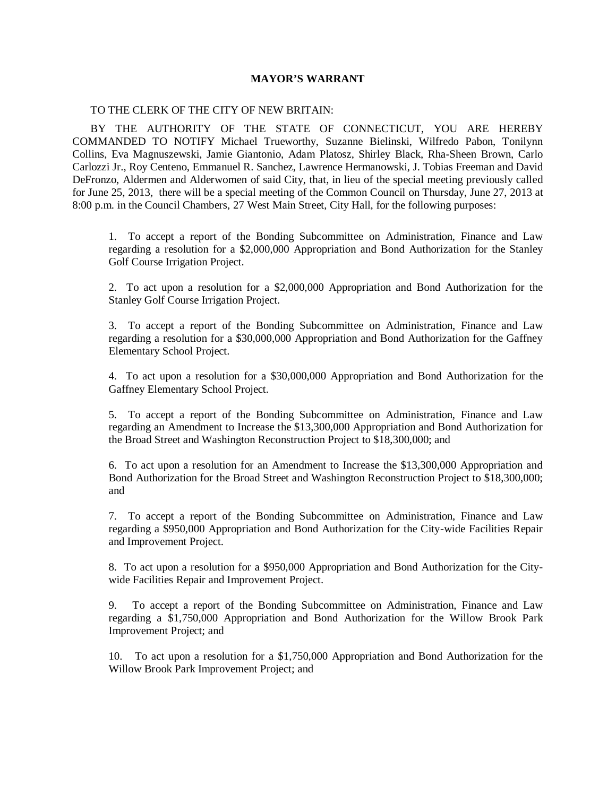## **MAYOR'S WARRANT**

## TO THE CLERK OF THE CITY OF NEW BRITAIN:

BY THE AUTHORITY OF THE STATE OF CONNECTICUT, YOU ARE HEREBY COMMANDED TO NOTIFY Michael Trueworthy, Suzanne Bielinski, Wilfredo Pabon, Tonilynn Collins, Eva Magnuszewski, Jamie Giantonio, Adam Platosz, Shirley Black, Rha-Sheen Brown, Carlo Carlozzi Jr., Roy Centeno, Emmanuel R. Sanchez, Lawrence Hermanowski, J. Tobias Freeman and David DeFronzo, Aldermen and Alderwomen of said City, that, in lieu of the special meeting previously called for June 25, 2013, there will be a special meeting of the Common Council on Thursday, June 27, 2013 at 8:00 p.m. in the Council Chambers, 27 West Main Street, City Hall, for the following purposes:

1. To accept a report of the Bonding Subcommittee on Administration, Finance and Law regarding a resolution for a \$2,000,000 Appropriation and Bond Authorization for the Stanley Golf Course Irrigation Project.

2. To act upon a resolution for a \$2,000,000 Appropriation and Bond Authorization for the Stanley Golf Course Irrigation Project.

3. To accept a report of the Bonding Subcommittee on Administration, Finance and Law regarding a resolution for a \$30,000,000 Appropriation and Bond Authorization for the Gaffney Elementary School Project.

4. To act upon a resolution for a \$30,000,000 Appropriation and Bond Authorization for the Gaffney Elementary School Project.

5. To accept a report of the Bonding Subcommittee on Administration, Finance and Law regarding an Amendment to Increase the \$13,300,000 Appropriation and Bond Authorization for the Broad Street and Washington Reconstruction Project to \$18,300,000; and

6. To act upon a resolution for an Amendment to Increase the \$13,300,000 Appropriation and Bond Authorization for the Broad Street and Washington Reconstruction Project to \$18,300,000; and

7. To accept a report of the Bonding Subcommittee on Administration, Finance and Law regarding a \$950,000 Appropriation and Bond Authorization for the City-wide Facilities Repair and Improvement Project.

8. To act upon a resolution for a \$950,000 Appropriation and Bond Authorization for the Citywide Facilities Repair and Improvement Project.

9. To accept a report of the Bonding Subcommittee on Administration, Finance and Law regarding a \$1,750,000 Appropriation and Bond Authorization for the Willow Brook Park Improvement Project; and

10. To act upon a resolution for a \$1,750,000 Appropriation and Bond Authorization for the Willow Brook Park Improvement Project; and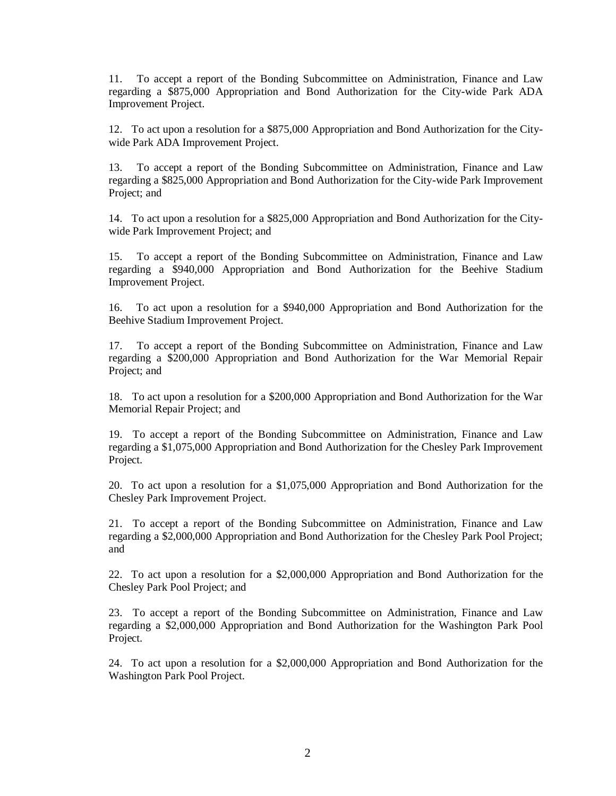11. To accept a report of the Bonding Subcommittee on Administration, Finance and Law regarding a \$875,000 Appropriation and Bond Authorization for the City-wide Park ADA Improvement Project.

12. To act upon a resolution for a \$875,000 Appropriation and Bond Authorization for the Citywide Park ADA Improvement Project.

13. To accept a report of the Bonding Subcommittee on Administration, Finance and Law regarding a \$825,000 Appropriation and Bond Authorization for the City-wide Park Improvement Project; and

14. To act upon a resolution for a \$825,000 Appropriation and Bond Authorization for the Citywide Park Improvement Project; and

15. To accept a report of the Bonding Subcommittee on Administration, Finance and Law regarding a \$940,000 Appropriation and Bond Authorization for the Beehive Stadium Improvement Project.

16. To act upon a resolution for a \$940,000 Appropriation and Bond Authorization for the Beehive Stadium Improvement Project.

17. To accept a report of the Bonding Subcommittee on Administration, Finance and Law regarding a \$200,000 Appropriation and Bond Authorization for the War Memorial Repair Project; and

18. To act upon a resolution for a \$200,000 Appropriation and Bond Authorization for the War Memorial Repair Project; and

19. To accept a report of the Bonding Subcommittee on Administration, Finance and Law regarding a \$1,075,000 Appropriation and Bond Authorization for the Chesley Park Improvement Project.

20. To act upon a resolution for a \$1,075,000 Appropriation and Bond Authorization for the Chesley Park Improvement Project.

21. To accept a report of the Bonding Subcommittee on Administration, Finance and Law regarding a \$2,000,000 Appropriation and Bond Authorization for the Chesley Park Pool Project; and

22. To act upon a resolution for a \$2,000,000 Appropriation and Bond Authorization for the Chesley Park Pool Project; and

23. To accept a report of the Bonding Subcommittee on Administration, Finance and Law regarding a \$2,000,000 Appropriation and Bond Authorization for the Washington Park Pool Project.

24. To act upon a resolution for a \$2,000,000 Appropriation and Bond Authorization for the Washington Park Pool Project.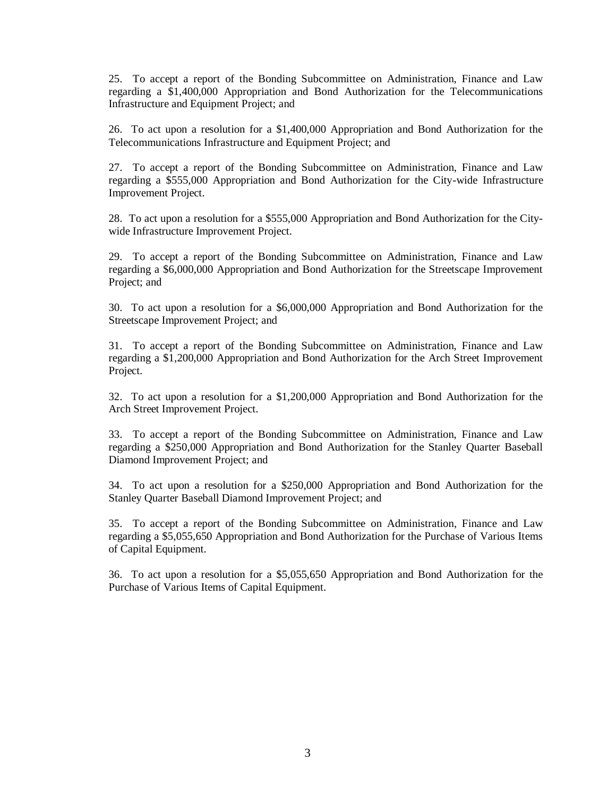25. To accept a report of the Bonding Subcommittee on Administration, Finance and Law regarding a \$1,400,000 Appropriation and Bond Authorization for the Telecommunications Infrastructure and Equipment Project; and

26. To act upon a resolution for a \$1,400,000 Appropriation and Bond Authorization for the Telecommunications Infrastructure and Equipment Project; and

27. To accept a report of the Bonding Subcommittee on Administration, Finance and Law regarding a \$555,000 Appropriation and Bond Authorization for the City-wide Infrastructure Improvement Project.

28. To act upon a resolution for a \$555,000 Appropriation and Bond Authorization for the Citywide Infrastructure Improvement Project.

29. To accept a report of the Bonding Subcommittee on Administration, Finance and Law regarding a \$6,000,000 Appropriation and Bond Authorization for the Streetscape Improvement Project; and

30. To act upon a resolution for a \$6,000,000 Appropriation and Bond Authorization for the Streetscape Improvement Project; and

31. To accept a report of the Bonding Subcommittee on Administration, Finance and Law regarding a \$1,200,000 Appropriation and Bond Authorization for the Arch Street Improvement Project.

32. To act upon a resolution for a \$1,200,000 Appropriation and Bond Authorization for the Arch Street Improvement Project.

33. To accept a report of the Bonding Subcommittee on Administration, Finance and Law regarding a \$250,000 Appropriation and Bond Authorization for the Stanley Quarter Baseball Diamond Improvement Project; and

34. To act upon a resolution for a \$250,000 Appropriation and Bond Authorization for the Stanley Quarter Baseball Diamond Improvement Project; and

35. To accept a report of the Bonding Subcommittee on Administration, Finance and Law regarding a \$5,055,650 Appropriation and Bond Authorization for the Purchase of Various Items of Capital Equipment.

36. To act upon a resolution for a \$5,055,650 Appropriation and Bond Authorization for the Purchase of Various Items of Capital Equipment.